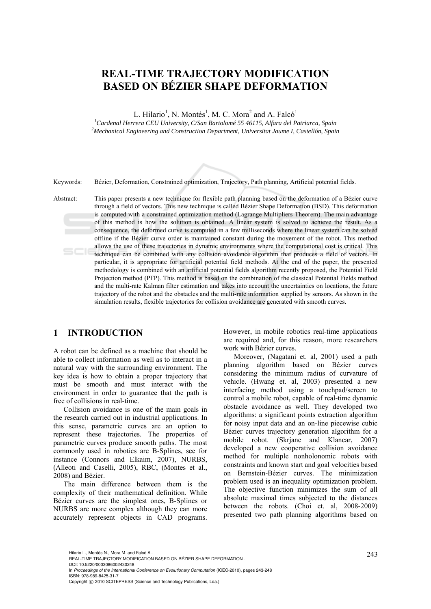# **REAL-TIME TRAJECTORY MODIFICATION BASED ON BÉZIER SHAPE DEFORMATION**

L. Hilario<sup>1</sup>, N. Montés<sup>1</sup>, M. C. Mora<sup>2</sup> and A. Falcó<sup>1</sup>

<sup>1</sup><br>
<sup>1</sup> Cardenal Herrera CEU University, C/San Bartolomé 55 46115, Alfara del Patriarca, Spain<br>
<sup>2</sup> Meghanical Engineering and Construction Dengrtment Universitet Igume I. Castellén, Spain *Mechanical Engineering and Construction Department, Universitat Jaume I, Castellón, Spain* 

Keywords: Bézier, Deformation, Constrained optimization, Trajectory, Path planning, Artificial potential fields.

Abstract: This paper presents a new technique for flexible path planning based on the deformation of a Bézier curve through a field of vectors. This new technique is called Bézier Shape Deformation (BSD). This deformation is computed with a constrained optimization method (Lagrange Multipliers Theorem). The main advantage of this method is how the solution is obtained. A linear system is solved to achieve the result. As a consequence, the deformed curve is computed in a few milliseconds where the linear system can be solved offline if the Bézier curve order is maintained constant during the movement of the robot. This method allows the use of these trajectories in dynamic environments where the computational cost is critical. This technique can be combined with any collision avoidance algorithm that produces a field of vectors. In particular, it is appropriate for artificial potential field methods. At the end of the paper, the presented methodology is combined with an artificial potential fields algorithm recently proposed, the Potential Field Projection method (PFP). This method is based on the combination of the classical Potential Fields method and the multi-rate Kalman filter estimation and takes into account the uncertainties on locations, the future trajectory of the robot and the obstacles and the multi-rate information supplied by sensors. As shown in the simulation results, flexible trajectories for collision avoidance are generated with smooth curves.

## **1 INTRODUCTION**

A robot can be defined as a machine that should be able to collect information as well as to interact in a natural way with the surrounding environment. The key idea is how to obtain a proper trajectory that must be smooth and must interact with the environment in order to guarantee that the path is free of collisions in real-time.

Collision avoidance is one of the main goals in the research carried out in industrial applications. In this sense, parametric curves are an option to represent these trajectories. The properties of parametric curves produce smooth paths. The most commonly used in robotics are B-Splines, see for instance (Connors and Elkaim, 2007), NURBS, (Alleoti and Caselli, 2005), RBC, (Montes et al., 2008) and Bézier.

The main difference between them is the complexity of their mathematical definition. While Bézier curves are the simplest ones, B-Splines or NURBS are more complex although they can more accurately represent objects in CAD programs.

However, in mobile robotics real-time applications are required and, for this reason, more researchers work with Bézier curves.

Moreover, (Nagatani et. al, 2001) used a path planning algorithm based on Bézier curves considering the minimum radius of curvature of vehicle. (Hwang et. al, 2003) presented a new interfacing method using a touchpad/screen to control a mobile robot, capable of real-time dynamic obstacle avoidance as well. They developed two algorithms: a significant points extraction algorithm for noisy input data and an on-line piecewise cubic Bézier curves trajectory generation algorithm for a mobile robot. (Skrjanc and Klancar, 2007) developed a new cooperative collision avoidance method for multiple nonholonomic robots with constraints and known start and goal velocities based on Bernstein-Bézier curves. The minimization problem used is an inequality optimization problem. The objective function minimizes the sum of all absolute maximal times subjected to the distances between the robots. (Choi et. al, 2008-2009) presented two path planning algorithms based on

In *Proceedings of the International Conference on Evolutionary Computation* (ICEC-2010), pages 243-248 ISBN: 978-989-8425-31-7

Copyright © 2010 SCITEPRESS (Science and Technology Publications, Lda.)

Hilario L., Montés N., Mora M. and Falcó A..<br>REAL-TIME TRAJECTORY MODIFICATION BASED ON BÉZIER SHAPE DEFORMATION . DOI: 10.5220/0003086002430248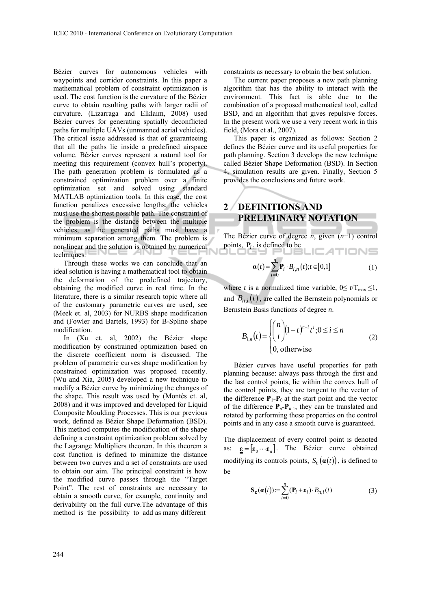Bézier curves for autonomous vehicles with waypoints and corridor constraints. In this paper a mathematical problem of constraint optimization is used. The cost function is the curvature of the Bézier curve to obtain resulting paths with larger radii of curvature. (Lizarraga and Elklaim, 2008) used Bézier curves for generating spatially deconflicted paths for multiple UAVs (unmanned aerial vehicles). The critical issue addressed is that of guaranteeing that all the paths lie inside a predefined airspace volume. Bézier curves represent a natural tool for meeting this requirement (convex hull's property). The path generation problem is formulated as a constrained optimization problem over a finite optimization set and solved using standard MATLAB optimization tools. In this case, the cost function penalizes excessive lengths; the vehicles must use the shortest possible path. The constraint of the problem is the distance between the multiple vehicles, as the generated paths must have a minimum separation among them. The problem is non-linear and the solution is obtained by numerical techniques.

Through these works we can conclude that an ideal solution is having a mathematical tool to obtain the deformation of the predefined trajectory, obtaining the modified curve in real time. In the literature, there is a similar research topic where all of the customary parametric curves are used, see (Meek et. al, 2003) for NURBS shape modification and (Fowler and Bartels, 1993) for B-Spline shape modification.

In (Xu et. al, 2002) the Bézier shape modification by constrained optimization based on the discrete coefficient norm is discussed. The problem of parametric curves shape modification by constrained optimization was proposed recently. (Wu and Xia, 2005) developed a new technique to modify a Bézier curve by minimizing the changes of the shape. This result was used by (Montés et. al, 2008) and it was improved and developed for Liquid Composite Moulding Processes. This is our previous work, defined as Bézier Shape Deformation (BSD). This method computes the modification of the shape defining a constraint optimization problem solved by the Lagrange Multipliers theorem. In this theorem a cost function is defined to minimize the distance between two curves and a set of constraints are used to obtain our aim. The principal constraint is how the modified curve passes through the "Target Point". The rest of constraints are necessary to obtain a smooth curve, for example, continuity and derivability on the full curve.The advantage of this method is the possibility to add as many different

constraints as necessary to obtain the best solution.

The current paper proposes a new path planning algorithm that has the ability to interact with the environment. This fact is able due to the combination of a proposed mathematical tool, called BSD, and an algorithm that gives repulsive forces. In the present work we use a very recent work in this field, (Mora et al., 2007).

This paper is organized as follows: Section 2 defines the Bézier curve and its useful properties for path planning. Section 3 develops the new technique called Bézier Shape Deformation (BSD). In Section 4, simulation results are given. Finally, Section 5 provides the conclusions and future work.

# **2 DEFINITIONS AND PRELIMINARY NOTATION**

The Bézier curve of degree *n*, given (*n*+1) control points,  $P_i$ , is defined to be

$$
\boldsymbol{\alpha}(t) = \sum_{i=0}^{n} \mathbf{P}_i \cdot B_{i,n}(t); t \in [0,1]
$$
 (1)

where *t* is a normalized time variable,  $0 \le t/T_{\text{max}} \le 1$ , and  $B_{ni}(t)$ , are called the Bernstein polynomials or Bernstein Basis functions of degree *n*.

$$
B_{i,n}(t) = \begin{cases} {n \choose i} (1-t)^{n-i} t^i; 0 \le i \le n \\ 0, \text{ otherwise} \end{cases}
$$
 (2)

Bézier curves have useful properties for path planning because: always pass through the first and the last control points, lie within the convex hull of the control points, they are tangent to the vector of the difference  $P_1$ - $P_0$  at the start point and the vector of the difference  $P_n - P_{n-1}$ , they can be translated and rotated by performing these properties on the control points and in any case a smooth curve is guaranteed.

The displacement of every control point is denoted as:  $\mathbf{\varepsilon} = [\mathbf{\varepsilon}_0 \cdots \mathbf{\varepsilon}_n]$ . The Bézier curve obtained modifying its controls points,  $S_{\epsilon}(\alpha(t))$ , is defined to be

$$
\mathbf{S}_{\varepsilon}(\boldsymbol{\alpha}(t)) := \sum_{i=0}^{n} (\mathbf{P}_i + \varepsilon_i) \cdot B_{n,i}(t)
$$
 (3)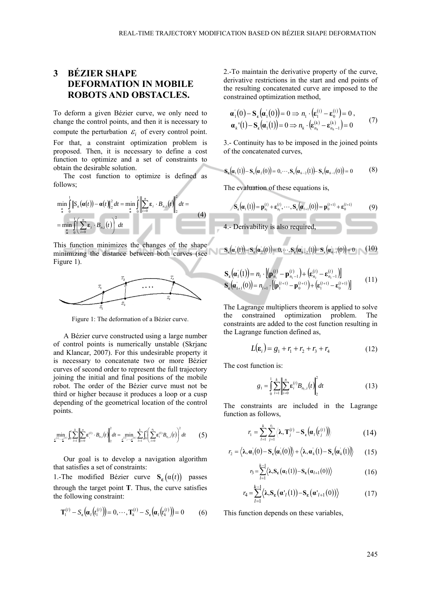$\mathcal{L}$ 

## **3 BÉZIER SHAPE DEFORMATION IN MOBILE ROBOTS AND OBSTACLES.**

To deform a given Bézier curve, we only need to change the control points, and then it is necessary to compute the perturbation  $\mathcal{E}_i$  of every control point. For that, a constraint optimization problem is proposed. Then, it is necessary to define a cost function to optimize and a set of constraints to obtain the desirable solution.

The cost function to optimize is defined as follows;

$$
\min_{\varepsilon} \int_{0}^{1} \left\| S_{\varepsilon}(\boldsymbol{\alpha}(t)) - \boldsymbol{\alpha}(t) \right\|_{2}^{2} dt = \min_{\varepsilon} \int_{0}^{1} \left\| \sum_{i=0}^{n} \varepsilon_{i} \cdot B_{n,i}(t) \right\|_{2}^{2} dt =
$$
\n
$$
= \min_{\varepsilon} \int_{0}^{1} \left( \sum_{i=0}^{n} \varepsilon_{i} \cdot B_{n,i}(t) \right)^{2} dt \tag{4}
$$

This function minimizes the changes of the shape minimizing the distance between both curves (see Figure 1).



Figure 1: The deformation of a Bézier curve.

A Bézier curve constructed using a large number of control points is numerically unstable (Skrjanc and Klancar, 2007). For this undesirable property it is necessary to concatenate two or more Bézier curves of second order to represent the full trajectory joining the initial and final positions of the mobile robot. The order of the Bézier curve must not be third or higher because it produces a loop or a cusp depending of the geometrical location of the control points.

$$
\min_{\underline{\epsilon}^{(1)}\cdots\underline{\epsilon}^{(k)}} \int_0^1 \sum_{l=1}^k \left\| \sum_{i=0}^n \epsilon^{(l)} \cdot B_{n,i}(t) \right\|_2^2 dt = \min_{\underline{\epsilon}^{(1)}\cdots\underline{\epsilon}^{(k)}} \sum_{l=1}^k \int_0^1 \left( \sum_{i=0}^{n_l} \epsilon^{(l)}_i B_{n_i,i}(t) \right)^2 dt \tag{5}
$$

Our goal is to develop a navigation algorithm that satisfies a set of constraints:

1.-The modified Bézier curve  $S_{\varepsilon}(\alpha(t))$  passes through the target point **T**. Thus, the curve satisfies the following constraint:

$$
\mathbf{T}_1^{(t)} - S_{\varepsilon} \big( \boldsymbol{\alpha}_t \big( t_1^{(t)} \big) \big) = 0, \cdots, \mathbf{T}_k^{(t)} - S_{\varepsilon} \big( \boldsymbol{\alpha}_t \big( t_k^{(t)} \big) \big) = 0 \tag{6}
$$

2.-To maintain the derivative property of the curve, derivative restrictions in the start and end points of the resulting concatenated curve are imposed to the constrained optimization method,

$$
\begin{aligned}\n\boldsymbol{\alpha}_1'(0) - \mathbf{S}_{\varepsilon}(\boldsymbol{\alpha}_1'(0)) &= 0 \Rightarrow n_1 \cdot (\boldsymbol{\varepsilon}_1^{(1)} - \boldsymbol{\varepsilon}_0^{(1)}) = 0 \;, \\
\boldsymbol{\alpha}_k'(1) - \mathbf{S}_{\varepsilon}(\boldsymbol{\alpha}_1'(1)) &= 0 \Rightarrow n_k \cdot (\boldsymbol{\varepsilon}_{n_k}^{(k)} - \boldsymbol{\varepsilon}_{n_k-1}^{(k)}) = 0\n\end{aligned} \tag{7}
$$

3.- Continuity has to be imposed in the joined points of the concatenated curves,

$$
\mathbf{S}_{\varepsilon}(\boldsymbol{a}_1(1)) - \mathbf{S}_{\varepsilon}(\boldsymbol{a}_2(0)) = 0, \cdots, \mathbf{S}_{\varepsilon}(\boldsymbol{a}_{k-2}(1)) - \mathbf{S}_{\varepsilon}(\boldsymbol{a}_{k-1}(0)) = 0 \tag{8}
$$

The evaluation of these equations is,

$$
\mathbf{S}_{\epsilon}(\boldsymbol{\alpha}_{i}(1)) = \mathbf{p}_{n_{i}}^{(l)} + \boldsymbol{\epsilon}_{n_{i}}^{(l)}, \cdots, \mathbf{S}_{\epsilon}(\boldsymbol{\alpha}_{i+1}(0)) = \mathbf{p}_{0}^{(l+1)} + \boldsymbol{\epsilon}_{0}^{(l+1)}
$$
(9)

4.- Derivability is also required,

$$
\mathbf{S}_{\varepsilon}(\mathbf{a}_1(1)) - \mathbf{S}_{\varepsilon}(\mathbf{a}_2(0)) = 0, \cdots, \mathbf{S}_{\varepsilon}(\mathbf{a}_{k-2}(1)) - \mathbf{S}_{\varepsilon}(\mathbf{a}_{k-1}(0)) = 0 \tag{10}
$$

$$
\mathbf{S}_{\varepsilon}(\mathbf{a}_{i}(1)) = n_{i} \cdot [(\mathbf{p}_{n_{i}}^{(l)} - \mathbf{p}_{n_{i}-1}^{(l)}) + (\mathbf{\varepsilon}_{n_{i}}^{(l)} - \mathbf{\varepsilon}_{n_{i}-1}^{(l)})] \n\mathbf{S}_{\varepsilon}(\mathbf{a}_{i+1}^{'}(0)) = n_{i+1} \cdot [(\mathbf{p}_{1}^{(l+1)} - \mathbf{p}_{0}^{(l+1)}) + (\mathbf{\varepsilon}_{1}^{(l+1)} - \mathbf{\varepsilon}_{0}^{(l+1)})]
$$
\n(11)

The Lagrange multipliers theorem is applied to solve the constrained optimization problem. The constraints are added to the cost function resulting in the Lagrange function defined as,

$$
L(\varepsilon_i) = g_1 + r_1 + r_2 + r_3 + r_4 \tag{12}
$$

The cost function is:

$$
g_1 = \int_0^1 \sum_{l=1}^k \left\| \sum_{i=0}^n \mathbf{\varepsilon}_i^{(l)} B_{n_l,i}(t) \right\|_2^2 dt \tag{13}
$$

The constraints are included in the Lagrange function as follows,

$$
r_{1} = \sum_{l=1}^{k} \sum_{j=1}^{r_{l}} \langle \lambda, \mathbf{T}_{j}^{(l)} - \mathbf{S}_{\varepsilon} \big( \boldsymbol{\alpha}_{l} \big( t_{j}^{(l)} \big) \big) \rangle \tag{14}
$$

$$
r_2 = \langle \lambda, \boldsymbol{\alpha}_1^\prime(0) - \mathbf{S}_{\varepsilon}(\boldsymbol{\alpha}_1^\prime(0)) \rangle + \langle \lambda, \boldsymbol{\alpha}_k^\prime(1) - \mathbf{S}_{\varepsilon}(\boldsymbol{\alpha}_k^\prime(1)) \rangle \qquad (15)
$$

$$
r_3 = \sum_{l=1}^{k-1} \langle \lambda, \mathbf{S}_{\varepsilon}(\boldsymbol{\alpha}_l(1)) - \mathbf{S}_{\varepsilon}(\boldsymbol{\alpha}_{l+1}(0)) \rangle \tag{16}
$$

$$
r_4 = \sum_{l=1}^{k-1} \langle \lambda, \mathbf{S}_{\varepsilon}(\boldsymbol{\alpha}'_l(1)) - \mathbf{S}_{\varepsilon}(\boldsymbol{\alpha}'_{l+1}(0)) \rangle \tag{17}
$$

This function depends on these variables,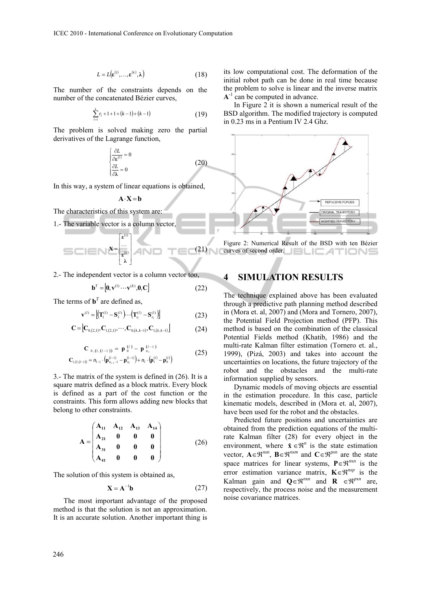$$
L = L(\varepsilon^{(1)}, \dots, \varepsilon^{(k)}, \lambda) \tag{18}
$$

The number of the constraints depends on the number of the concatenated Bézier curves,

$$
\sum_{l=1}^{k} r_l + 1 + 1 + (k - 1) + (k - 1) \tag{19}
$$

The problem is solved making zero the partial derivatives of the Lagrange function,

$$
\begin{cases}\n\frac{\partial L}{\partial \mathbf{\varepsilon}}^{(i)} = 0\\ \n\frac{\partial L}{\partial \mathbf{\lambda}} = 0\n\end{cases}
$$
\n(20)

In this way, a system of linear equations is obtained,

#### $A \cdot X = b$

The characteristics of this system are:

1.- The variable vector is a column vector,

$$
S = \mathbf{N} \mathbf{X} = \begin{bmatrix} e^{(0)} \\ \vdots \\ e^{(k)} \end{bmatrix} \quad \text{and} \quad T \in \mathbf{C}^{(21)}
$$

2.- The independent vector is a column vector too,

$$
\mathbf{b}^T = \left[ \mathbf{0}, \mathbf{v}^{(1)} \cdots \mathbf{v}^{(k)}, \mathbf{0}, \mathbf{C} \right] \tag{22}
$$

The terms of  $\mathbf{b}^T$  are defined as,

$$
\mathbf{v}^{(l)} = \left[ \left( \mathbf{T}_1^{(l)} - \mathbf{S}_1^{(l)} \right) \cdots \left( \mathbf{T}_n^{(l)} - \mathbf{S}_n^{(l)} \right) \right]
$$
(23)

$$
\mathbf{C} = [\mathbf{C}_{0,(2,1)}, \mathbf{C}_{1,(2,1)}, \cdots, \mathbf{C}_{0,(k,k-1)}, \mathbf{C}_{1,(k,k-1)}] \tag{24}
$$

$$
\mathbf{C}_{0,(l,(l-1))} = \mathbf{p}_{0}^{(l)} - \mathbf{p}_{n_{l}}^{(l-1)} \n\mathbf{C}_{1,(l,(l-1))} = n_{l-1} \cdot (\mathbf{p}_{n_{l-1}-1}^{(l-1)} - \mathbf{p}_{n_{l}}^{(l-1)}) + n_{l} \cdot (\mathbf{p}_{l}^{(l)} - \mathbf{p}_{0}^{(l)})
$$
\n(25)

3.- The matrix of the system is defined in (26). It is a square matrix defined as a block matrix. Every block is defined as a part of the cost function or the constraints. This form allows adding new blocks that belong to other constraints.

$$
A = \begin{pmatrix} A_{11} & A_{12} & A_{13} & A_{14} \\ A_{21} & 0 & 0 & 0 \\ A_{31} & 0 & 0 & 0 \\ A_{41} & 0 & 0 & 0 \end{pmatrix}
$$
 (26)

The solution of this system is obtained as,

$$
\mathbf{X} = \mathbf{A}^{-1} \mathbf{b} \tag{27}
$$

The most important advantage of the proposed method is that the solution is not an approximation. It is an accurate solution. Another important thing is its low computational cost. The deformation of the initial robot path can be done in real time because the problem to solve is linear and the inverse matrix  $A^{-1}$  can be computed in advance.

In Figure 2 it is shown a numerical result of the BSD algorithm. The modified trajectory is computed in 0.23 ms in a Pentium IV 2.4 Ghz.



Figure 2: Numerical Result of the BSD with ten Bézier curves of second order.  $\Box$   $\Box$   $\Box$   $\Box$   $\Box$   $\Box$   $\Box$ 

## **4 SIMULATION RESULTS**

The technique explained above has been evaluated through a predictive path planning method described in (Mora et. al, 2007) and (Mora and Tornero, 2007), the Potential Field Projection method (PFP). This method is based on the combination of the classical Potential Fields method (Khatib, 1986) and the multi-rate Kalman filter estimation (Tornero et. al., 1999), (Pizá, 2003) and takes into account the uncertainties on locations, the future trajectory of the robot and the obstacles and the multi-rate information supplied by sensors.

Dynamic models of moving objects are essential in the estimation procedure. In this case, particle kinematic models, described in (Mora et. al, 2007), have been used for the robot and the obstacles.

Predicted future positions and uncertainties are obtained from the prediction equations of the multirate Kalman filter (28) for every object in the environment, where  $\hat{\mathbf{x}} \in \mathbb{R}^n$  is the state estimation vector,  $\mathbf{A} \in \mathbb{R}^{n \times n}$ ,  $\mathbf{B} \in \mathbb{R}^{n \times m}$  and  $\mathbf{C} \in \mathbb{R}^{p \times n}$  are the state space matrices for linear systems,  $P \in \mathbb{R}^{n \times n}$  is the error estimation variance matrix,  $\mathbf{K} \in \mathbb{R}^{n \times p}$  is the Kalman gain and  $\mathbf{Q} \in \mathbb{R}^{n \times n}$  and  $\mathbf{R} \in \mathbb{R}^{p \times n}$  are, respectively, the process noise and the measurement noise covariance matrices.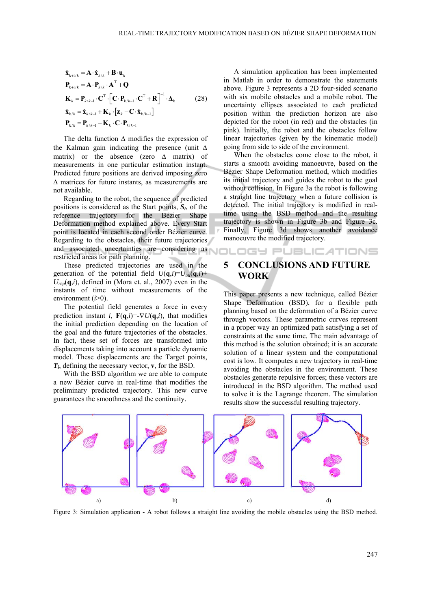$$
\hat{\mathbf{x}}_{k+l/k} = \mathbf{A} \cdot \hat{\mathbf{x}}_{k/k} + \mathbf{B} \cdot \mathbf{u}_k
$$
\n
$$
\mathbf{P}_{k+l/k} = \mathbf{A} \cdot \mathbf{P}_{k/k} \cdot \mathbf{A}^{\mathrm{T}} + \mathbf{Q}
$$
\n
$$
\mathbf{K}_k = \mathbf{P}_{k/k-1} \cdot \mathbf{C}^{\mathrm{T}} \cdot \left[ \mathbf{C} \cdot \mathbf{P}_{k/k-1} \cdot \mathbf{C}^{\mathrm{T}} + \mathbf{R} \right]^{-1} \cdot \mathbf{\Delta}_k \qquad (28)
$$
\n
$$
\hat{\mathbf{x}}_{k/k} = \hat{\mathbf{x}}_{k/k-1} + \mathbf{K}_k \cdot \left[ \mathbf{z}_k - \mathbf{C} \cdot \hat{\mathbf{x}}_{k/k-1} \right]
$$
\n
$$
\mathbf{P}_{k/k} = \mathbf{P}_{k/k-1} - \mathbf{K}_k \cdot \mathbf{C} \cdot \mathbf{P}_{k/k-1}
$$

The delta function Δ modifies the expression of the Kalman gain indicating the presence (unit  $\Delta$ matrix) or the absence (zero  $\Delta$  matrix) of measurements in one particular estimation instant. Predicted future positions are derived imposing zero Δ matrices for future instants, as measurements are not available.

Regarding to the robot, the sequence of predicted positions is considered as the Start points, *Si*, of the reference trajectory for the Bézier Shape Deformation method explained above. Every Start point is located in each second order Bézier curve. Regarding to the obstacles, their future trajectories and associated uncertainties are considering as restricted areas for path planning.

These predicted trajectories are used in the generation of the potential field  $U(\mathbf{q},i)=U_{att}(\mathbf{q},i)+$  $U_{ren}(\mathbf{q},i)$ , defined in (Mora et. al., 2007) even in the instants of time without measurements of the environment (*i*>0).

The potential field generates a force in every prediction instant *i*,  $\mathbf{F}(\mathbf{q},i) = \nabla U(\mathbf{q},i)$ , that modifies the initial prediction depending on the location of the goal and the future trajectories of the obstacles. In fact, these set of forces are transformed into displacements taking into account a particle dynamic model. These displacements are the Target points, *Ti*, defining the necessary vector, **v**, for the BSD.

With the BSD algorithm we are able to compute a new Bézier curve in real-time that modifies the preliminary predicted trajectory. This new curve guarantees the smoothness and the continuity.

A simulation application has been implemented in Matlab in order to demonstrate the statements above. Figure 3 represents a 2D four-sided scenario with six mobile obstacles and a mobile robot. The uncertainty ellipses associated to each predicted position within the prediction horizon are also depicted for the robot (in red) and the obstacles (in pink). Initially, the robot and the obstacles follow linear trajectories (given by the kinematic model) going from side to side of the environment.

When the obstacles come close to the robot, it starts a smooth avoiding manoeuvre, based on the Bézier Shape Deformation method, which modifies its initial trajectory and guides the robot to the goal without collision. In Figure 3a the robot is following a straight line trajectory when a future collision is detected. The initial trajectory is modified in realtime using the BSD method and the resulting trajectory is shown in Figure 3b and Figure 3c. Finally, Figure 3d shows another avoidance manoeuvre the modified trajectory.

## **5 CONCLUSIONS AND FUTURE WORK**

OGY PUBLICATIONS

This paper presents a new technique, called Bézier Shape Deformation (BSD), for a flexible path planning based on the deformation of a Bézier curve through vectors. These parametric curves represent in a proper way an optimized path satisfying a set of constraints at the same time. The main advantage of this method is the solution obtained; it is an accurate solution of a linear system and the computational cost is low. It computes a new trajectory in real-time avoiding the obstacles in the environment. These obstacles generate repulsive forces; these vectors are introduced in the BSD algorithm. The method used to solve it is the Lagrange theorem. The simulation results show the successful resulting trajectory.



Figure 3: Simulation application - A robot follows a straight line avoiding the mobile obstacles using the BSD method.